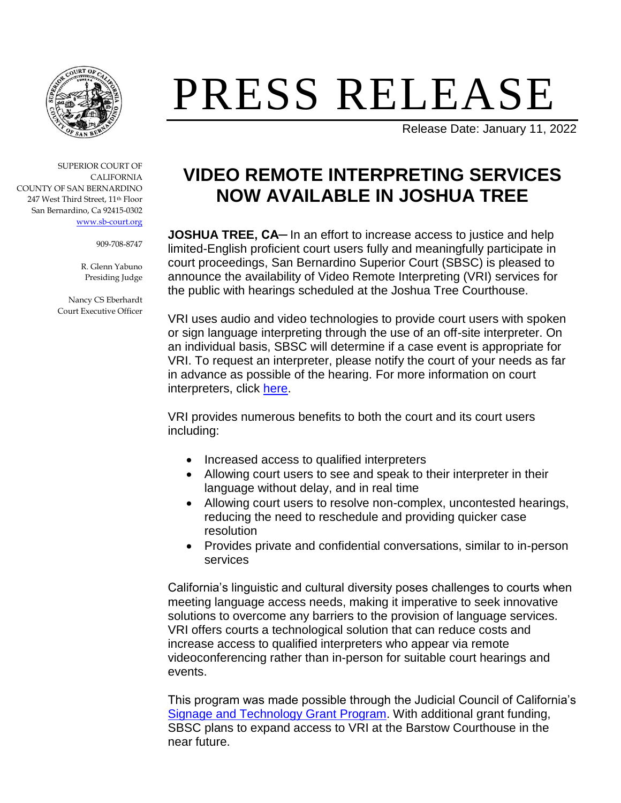

## PRESS RELEASE

Release Date: January 11, 2022

SUPERIOR COURT OF CALIFORNIA COUNTY OF SAN BERNARDINO 247 West Third Street, 11th Floor San Bernardino, Ca 92415-0302 [www.sb-court.org](http://www.sb-court.org/)

909-708-8747

R. Glenn Yabuno Presiding Judge

Nancy CS Eberhardt Court Executive Officer

## **VIDEO REMOTE INTERPRETING SERVICES NOW AVAILABLE IN JOSHUA TREE**

**JOSHUA TREE, CA**— In an effort to increase access to justice and help limited-English proficient court users fully and meaningfully participate in court proceedings, San Bernardino Superior Court (SBSC) is pleased to announce the availability of Video Remote Interpreting (VRI) services for the public with hearings scheduled at the Joshua Tree Courthouse.

VRI uses audio and video technologies to provide court users with spoken or sign language interpreting through the use of an off-site interpreter. On an individual basis, SBSC will determine if a case event is appropriate for VRI. To request an interpreter, please notify the court of your needs as far in advance as possible of the hearing. For more information on court interpreters, click [here.](https://www.sb-court.org/general-information/court-interpreters)

VRI provides numerous benefits to both the court and its court users including:

- Increased access to qualified interpreters
- Allowing court users to see and speak to their interpreter in their language without delay, and in real time
- Allowing court users to resolve non-complex, uncontested hearings, reducing the need to reschedule and providing quicker case resolution
- Provides private and confidential conversations, similar to in-person services

California's linguistic and cultural diversity poses challenges to courts when meeting language access needs, making it imperative to seek innovative solutions to overcome any barriers to the provision of language services. VRI offers courts a technological solution that can reduce costs and increase access to qualified interpreters who appear via remote videoconferencing rather than in-person for suitable court hearings and events.

This program was made possible through the Judicial Council of California's [Signage and Technology Grant Program.](https://www.courts.ca.gov/documents/PAF-20210126-materials.pdf) With additional grant funding, SBSC plans to expand access to VRI at the Barstow Courthouse in the near future.